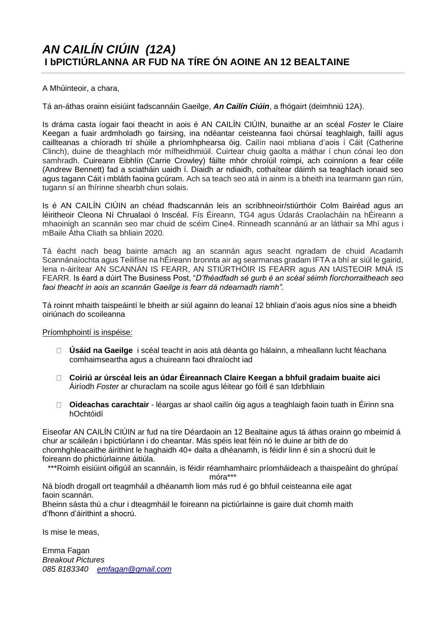## A Mhúinteoir, a chara,

Tá an-áthas orainn eisiúint fadscannáin Gaeilge, *An Cailín Ciúin*, a fhógairt (deimhniú 12A).

Is dráma casta íogair faoi theacht in aois é AN CAILÍN CIÚIN, bunaithe ar an scéal *Foster* le Claire Keegan a fuair ardmholadh go fairsing, ina ndéantar ceisteanna faoi chúrsaí teaghlaigh, faillí agus caillteanas a chíoradh trí shúile a phríomhphearsa óig. Cailín naoi mbliana d'aois í Cáit (Catherine Clinch), duine de theaghlach mór mífheidhmiúil. Cuirtear chuig gaolta a máthar í chun cónaí leo don samhradh. Cuireann Eibhlín (Carrie Crowley) fáilte mhór chroíúil roimpi, ach coinníonn a fear céile (Andrew Bennett) fad a sciatháin uaidh í. Diaidh ar ndiaidh, cothaítear dáimh sa teaghlach ionaid seo agus tagann Cáit i mbláth faoina gcúram. Ach sa teach seo atá in ainm is a bheith ina tearmann gan rúin, tugann sí an fhírinne shearbh chun solais.

Is é AN CAILÍN CIÚIN an chéad fhadscannán leis an scríbhneoir/stiúrthóir Colm Bairéad agus an léiritheoir Cleona Ní Chrualaoi ó Inscéal. Fís Éireann, TG4 agus Údarás Craolacháin na hÉireann a mhaoinigh an scannán seo mar chuid de scéim Cine4. Rinneadh scannánú ar an láthair sa Mhí agus i mBaile Átha Cliath sa bhliain 2020.

Tá éacht nach beag bainte amach ag an scannán agus seacht ngradam de chuid Acadamh Scannánaíochta agus Teilifíse na hÉireann bronnta air ag searmanas gradam IFTA a bhí ar siúl le gairid, lena n-áirítear AN SCANNÁN IS FEARR, AN STIÚRTHÓIR IS FEARR agus AN tAISTEOIR MNÁ IS FEARR. Is éard a dúirt The Business Post, "*D'fhéadfadh sé gurb é an scéal séimh fíorchorraitheach seo faoi theacht in aois an scannán Gaeilge is fearr dá ndearnadh riamh".*

Tá roinnt mhaith taispeáintí le bheith ar siúl againn do leanaí 12 bhliain d'aois agus níos sine a bheidh oiriúnach do scoileanna

## Príomhphointí is inspéise:

- **Úsáid na Gaeilge** i scéal teacht in aois atá déanta go hálainn, a mheallann lucht féachana comhaimseartha agus a chuireann faoi dhraíocht iad
- **Coiriú ar úrscéal leis an údar Éireannach Claire Keegan a bhfuil gradaim buaite aici**  Áiríodh *Foster* ar churaclam na scoile agus léitear go fóill é san Idirbhliain
- $\Box$ **Oideachas carachtair** - léargas ar shaol cailín óig agus a teaghlaigh faoin tuath in Éirinn sna hOchtóidí

Eiseofar AN CAILÍN CIÚIN ar fud na tíre Déardaoin an 12 Bealtaine agus tá áthas orainn go mbeimid á chur ar scáileán i bpictiúrlann i do cheantar. Más spéis leat féin nó le duine ar bith de do chomhghleacaithe áirithint le haghaidh 40+ dalta a dhéanamh, is féidir linn é sin a shocrú duit le foireann do phictiúrlainne áitiúla.

\*\*\*Roimh eisiúint oifigúil an scannáin, is féidir réamhamhairc príomháideach a thaispeâint do ghrúpaí

móra\*\*\*

Ná bíodh drogall ort teagmháil a dhéanamh liom más rud é go bhfuil ceisteanna eile agat faoin scannán.

Bheinn sásta thú a chur i dteagmháil le foireann na pictiúrlainne is gaire duit chomh maith d'fhonn d'áirithint a shocrú.

Is mise le meas,

Emma Fagan *Breakout Pictures 085 8183340 [emfagan@gmail.com](mailto:emfagan@gmail.com)*